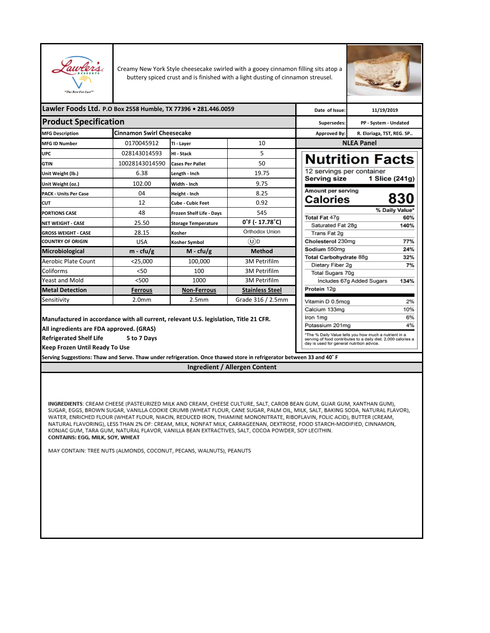

Creamy New York Style cheesecake swirled with a gooey cinnamon filling sits atop a buttery spiced crust and is finished with a light dusting of cinnamon streusel.



| Lawler Foods Ltd. P.O Box 2558 Humble, TX 77396 . 281.446.0059                                                       |                                  | Date of Issue:                  | 11/19/2019             |                                                                                                                        |                           |                |
|----------------------------------------------------------------------------------------------------------------------|----------------------------------|---------------------------------|------------------------|------------------------------------------------------------------------------------------------------------------------|---------------------------|----------------|
| <b>Product Specification</b>                                                                                         |                                  | Supersedes:                     | PP - System - Undated  |                                                                                                                        |                           |                |
| <b>MFG Description</b>                                                                                               | <b>Cinnamon Swirl Cheesecake</b> |                                 |                        | Approved By:                                                                                                           | R. Eloriaga, TST, REG. SP |                |
| <b>MFG ID Number</b>                                                                                                 | 0170045912                       | TI - Laver                      | 10                     |                                                                                                                        | <b>NLEA Panel</b>         |                |
| <b>UPC</b>                                                                                                           | 028143014593                     | HI - Stack                      | 5                      |                                                                                                                        |                           |                |
| <b>GTIN</b>                                                                                                          | 10028143014590                   | <b>Cases Per Pallet</b>         | 50                     | <b>Nutrition Facts</b>                                                                                                 |                           |                |
| Unit Weight (lb.)                                                                                                    | 6.38                             | Length - Inch                   | 19.75                  | 12 servings per container                                                                                              |                           |                |
| Unit Weight (oz.)                                                                                                    | 102.00                           | Width - Inch                    | 9.75                   | Serving size                                                                                                           |                           | 1 Slice (241g) |
| <b>PACK - Units Per Case</b>                                                                                         | 04                               | Height - Inch                   | 8.25                   | Amount per serving                                                                                                     |                           |                |
| CUT                                                                                                                  | 12                               | Cube - Cubic Feet               | 0.92                   | <b>Calories</b>                                                                                                        |                           | 830            |
| <b>PORTIONS CASE</b>                                                                                                 | 48                               | <b>Frozen Shelf Life - Days</b> | 545                    |                                                                                                                        |                           | % Daily Value* |
| <b>NET WEIGHT - CASE</b>                                                                                             | 25.50                            | <b>Storage Temperature</b>      | $0°F (-17.78°C)$       | Total Fat 47g<br>Saturated Fat 28g                                                                                     |                           | 60%<br>140%    |
| <b>GROSS WEIGHT - CASE</b>                                                                                           | 28.15                            | Kosher                          | Orthodox Union         | Trans Fat 2g                                                                                                           |                           |                |
| <b>COUNTRY OF ORIGIN</b>                                                                                             | <b>USA</b>                       | <b>Kosher Symbol</b>            | (U)D                   | Cholesterol 230mg                                                                                                      |                           | 77%            |
| Microbiological                                                                                                      | $m - c f u/g$                    | $M - cfu/g$                     | <b>Method</b>          | Sodium 550mg                                                                                                           |                           | 24%            |
| Aerobic Plate Count                                                                                                  | $<$ 25,000                       | 100,000                         | 3M Petrifilm           | Total Carbohydrate 88g                                                                                                 |                           | 32%            |
| Coliforms                                                                                                            | 50<                              | 100                             | 3M Petrifilm           | Dietary Fiber 2g<br>Total Sugars 70g                                                                                   |                           | 7%             |
| Yeast and Mold                                                                                                       | < 500                            | 1000                            | 3M Petrifilm           |                                                                                                                        | Includes 67g Added Sugars | 134%           |
| <b>Metal Detection</b>                                                                                               | <b>Ferrous</b>                   | <b>Non-Ferrous</b>              | <b>Stainless Steel</b> | Protein 12g                                                                                                            |                           |                |
| Sensitivity                                                                                                          | 2.0 <sub>mm</sub>                | 2.5 <sub>mm</sub>               | Grade 316 / 2.5mm      | Vitamin D 0.5mcg                                                                                                       |                           | 2%             |
|                                                                                                                      |                                  |                                 |                        | Calcium 133mg                                                                                                          |                           | 10%            |
| Manufactured in accordance with all current, relevant U.S. legislation, Title 21 CFR.                                |                                  |                                 |                        | Iron 1ma                                                                                                               |                           | 6%             |
| All ingredients are FDA approved. (GRAS)                                                                             |                                  |                                 |                        | Potassium 201mg                                                                                                        |                           | 4%             |
| <b>Refrigerated Shelf Life</b>                                                                                       | 5 to 7 Days                      |                                 |                        | *The % Daily Value tells you how much a nutrient in a<br>serving of food contributes to a daily diet. 2,000 calories a |                           |                |
| <b>Keep Frozen Until Ready To Use</b>                                                                                |                                  |                                 |                        | day is used for general nutrition advice.                                                                              |                           |                |
|                                                                                                                      |                                  |                                 |                        |                                                                                                                        |                           |                |
| Serving Suggestions: Thaw and Serve. Thaw under refrigeration. Once thawed store in refrigerator between 33 and 40°F |                                  |                                 |                        |                                                                                                                        |                           |                |

**Ingredient / Allergen Content**

INGREDIENTS: CREAM CHEESE (PASTEURIZED MILK AND CREAM, CHEESE CULTURE, SALT, CAROB BEAN GUM, GUAR GUM, XANTHAN GUM), SUGAR, EGGS, BROWN SUGAR, VANILLA COOKIE CRUMB (WHEAT FLOUR, CANE SUGAR, PALM OIL, MILK, SALT, BAKING SODA, NATURAL FLAVOR), WATER, ENRICHED FLOUR (WHEAT FLOUR, NIACIN, REDUCED IRON, THIAMINE MONONITRATE, RIBOFLAVIN, FOLIC ACID), BUTTER (CREAM, NATURAL FLAVORING), LESS THAN 2% OF: CREAM, MILK, NONFAT MILK, CARRAGEENAN, DEXTROSE, FOOD STARCH-MODIFIED, CINNAMON, KONJAC GUM, TARA GUM, NATURAL FLAVOR, VANILLA BEAN EXTRACTIVES, SALT, COCOA POWDER, SOY LECITHIN. CONTAINS: EGG, MILK, SOY, WHEAT

MAY CONTAIN: TREE NUTS (ALMONDS, COCONUT, PECANS, WALNUTS), PEANUTS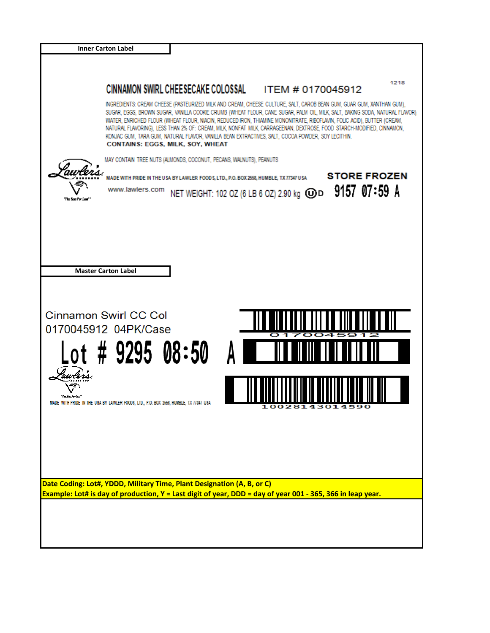|                      | <b>Inner Carton Label</b>                                                                                                                                                                                                                                                                                                                                                                                                                                                                                         |                                                           |                                                                                                                              |
|----------------------|-------------------------------------------------------------------------------------------------------------------------------------------------------------------------------------------------------------------------------------------------------------------------------------------------------------------------------------------------------------------------------------------------------------------------------------------------------------------------------------------------------------------|-----------------------------------------------------------|------------------------------------------------------------------------------------------------------------------------------|
|                      |                                                                                                                                                                                                                                                                                                                                                                                                                                                                                                                   |                                                           |                                                                                                                              |
|                      | CINNAMON SWIRL CHEESECAKE COLOSSAL                                                                                                                                                                                                                                                                                                                                                                                                                                                                                | ITEM # 0170045912                                         | 1218                                                                                                                         |
|                      | INGREDIENTS: CREAM CHEESE (PASTEURIZED MILK AND CREAM, CHEESE CULTURE, SALT, CAROB BEAN GUM, GUAR GUM, XANTHAN GUM),<br>WATER, ENRICHED FLOUR (WHEAT FLOUR, NIACIN, REDUCED IRON, THIAMINE MONONITRATE, RIBOFLAVIN, FOLIC ACID), BUTTER (CREAM,<br>NATURAL FLAVORING), LESS THAN 2% OF: CREAM, MILK, NONFAT MILK, CARRAGEENAN, DEXTROSE, FOOD STARCH-MODIFIED, CINNAMON,<br>KONJAC GUM, TARA GUM, NATURAL FLAVOR, VANILLA BEAN EXTRACTIVES, SALT, COCOA POWDER, SOY LECITHIN.<br>CONTAINS: EGGS, MILK, SOY, WHEAT |                                                           | SUGAR, EGGS, BROWN SUGAR, VANILLA COOKIE CRUMB (WHEAT FLOUR, CANE SUGAR, PALM OIL, MILK, SALT, BAKING SODA, NATURAL FLAVOR), |
|                      | MAY CONTAIN TREE NUTS (ALMONDS, COCONUT, PECANS, WALNUTS), PEANUTS                                                                                                                                                                                                                                                                                                                                                                                                                                                |                                                           |                                                                                                                              |
| <sup>g</sup> uvlers. | MADE WITH PRIDE IN THE USA BY LAWLER FOODS, LTD., P.O. BOX 2558, HUMBLE, TX 77347 USA<br>www.lawlers.com                                                                                                                                                                                                                                                                                                                                                                                                          | NET WEIGHT: 102 OZ (6 LB 6 OZ) 2.90 kg $\mathbf{\odot}$ D | <b>STORE FROZEN</b><br>9157 07:59 A                                                                                          |
|                      |                                                                                                                                                                                                                                                                                                                                                                                                                                                                                                                   |                                                           |                                                                                                                              |
|                      |                                                                                                                                                                                                                                                                                                                                                                                                                                                                                                                   |                                                           |                                                                                                                              |
|                      | <b>Master Carton Label</b>                                                                                                                                                                                                                                                                                                                                                                                                                                                                                        |                                                           |                                                                                                                              |
| the Report of        | <b>Cinnamon Swirl CC Col</b><br>0170045912 04PK/Case<br>Lot # 9295 08:50<br>MADE WITH PRIDE IN THE USA BY LAWLER FOODS, LTD., P.O. BOX 2558, HUMBLE, TX 77347 USA                                                                                                                                                                                                                                                                                                                                                 | 10028143014590                                            |                                                                                                                              |
|                      | Date Coding: Lot#, YDDD, Military Time, Plant Designation (A, B, or C)<br>Example: Lot# is day of production, Y = Last digit of year, DDD = day of year 001 - 365, 366 in leap year.                                                                                                                                                                                                                                                                                                                              |                                                           |                                                                                                                              |
|                      |                                                                                                                                                                                                                                                                                                                                                                                                                                                                                                                   |                                                           |                                                                                                                              |